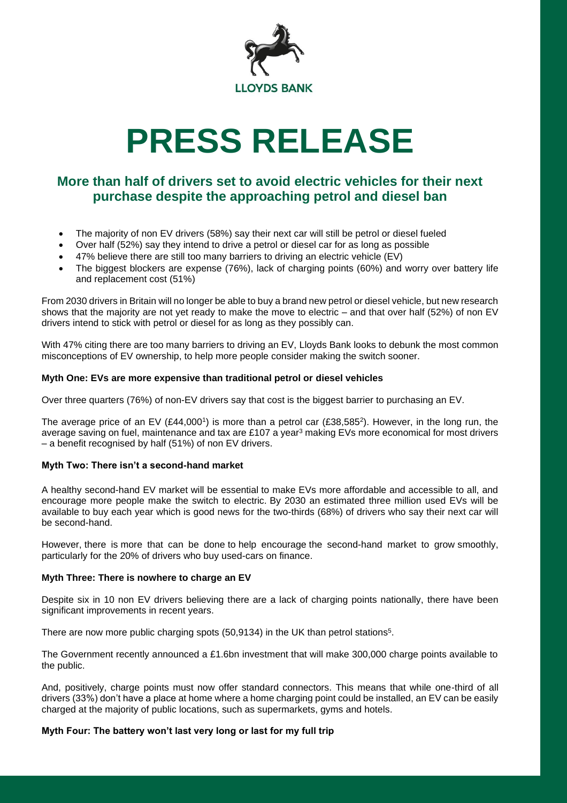

# **PRESS RELEASE**

## **More than half of drivers set to avoid electric vehicles for their next purchase despite the approaching petrol and diesel ban**

- The majority of non EV drivers (58%) say their next car will still be petrol or diesel fueled
- Over half (52%) say they intend to drive a petrol or diesel car for as long as possible
- 47% believe there are still too many barriers to driving an electric vehicle (EV)
- The biggest blockers are expense (76%), lack of charging points (60%) and worry over battery life and replacement cost (51%)

From 2030 drivers in Britain will no longer be able to buy a brand new petrol or diesel vehicle, but new research shows that the majority are not yet ready to make the move to electric – and that over half (52%) of non EV drivers intend to stick with petrol or diesel for as long as they possibly can.

With 47% citing there are too many barriers to driving an EV, Lloyds Bank looks to debunk the most common misconceptions of EV ownership, to help more people consider making the switch sooner.

#### **Myth One: EVs are more expensive than traditional petrol or diesel vehicles**

Over three quarters (76%) of non-EV drivers say that cost is the biggest barrier to purchasing an EV.

The average price of an EV (£44,0001) is more than a petrol car (£38,585<sup>2</sup>). However, in the long run, the average saving on fuel, maintenance and tax are £107 a year<sup>3</sup> making EVs more economical for most drivers – a benefit recognised by half (51%) of non EV drivers.

#### **Myth Two: There isn't a second-hand market**

A healthy second-hand EV market will be essential to make EVs more affordable and accessible to all, and encourage more people make the switch to electric. By 2030 an estimated three million used EVs will be available to buy each year which is good news for the two-thirds (68%) of drivers who say their next car will be second-hand.

However, there is more that can be done to help encourage the second-hand market to grow smoothly, particularly for the 20% of drivers who buy used-cars on finance.

#### **Myth Three: There is nowhere to charge an EV**

Despite six in 10 non EV drivers believing there are a lack of charging points nationally, there have been significant improvements in recent years.

There are now more public charging spots (50,9134) in the UK than petrol stations<sup>5</sup>.

The Government recently announced a £1.6bn investment that will make 300,000 charge points available to the public.

And, positively, charge points must now offer standard connectors. This means that while one-third of all drivers (33%) don't have a place at home where a home charging point could be installed, an EV can be easily charged at the majority of public locations, such as supermarkets, gyms and hotels.

**Myth Four: The battery won't last very long or last for my full trip**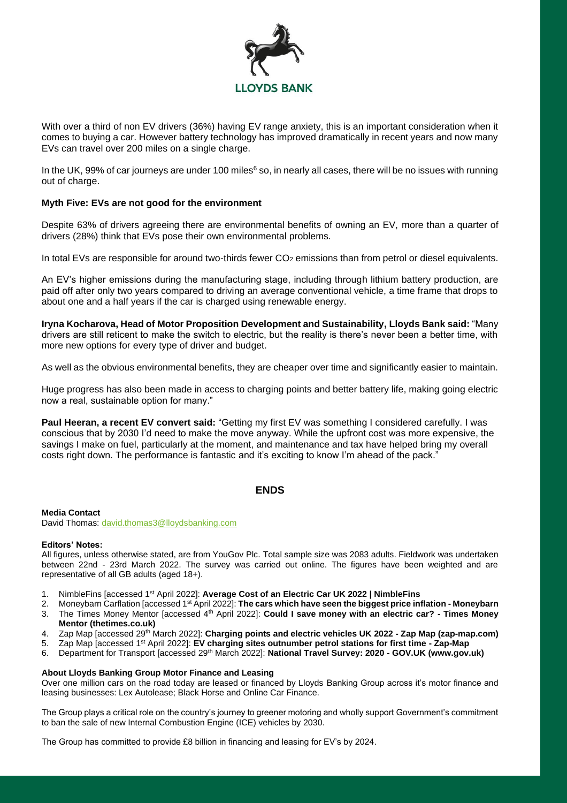

With over a third of non EV drivers (36%) having EV range anxiety, this is an important consideration when it comes to buying a car. However battery technology has improved dramatically in recent years and now many EVs can travel over 200 miles on a single charge.

In the UK, 99% of car journeys are under 100 miles $\epsilon$  so, in nearly all cases, there will be no issues with running out of charge.

#### **Myth Five: EVs are not good for the environment**

Despite 63% of drivers agreeing there are environmental benefits of owning an EV, more than a quarter of drivers (28%) think that EVs pose their own environmental problems.

In total EVs are responsible for around two-thirds fewer  $CO<sub>2</sub>$  emissions than from petrol or diesel equivalents.

An EV's higher emissions during the manufacturing stage, including through lithium battery production, are paid off after only two years compared to driving an average conventional vehicle, a time frame that drops to about one and a half years if the car is charged using renewable energy.

**Iryna Kocharova, Head of Motor Proposition Development and Sustainability, Lloyds Bank said:** "Many drivers are still reticent to make the switch to electric, but the reality is there's never been a better time, with more new options for every type of driver and budget.

As well as the obvious environmental benefits, they are cheaper over time and significantly easier to maintain.

Huge progress has also been made in access to charging points and better battery life, making going electric now a real, sustainable option for many."

**Paul Heeran, a recent EV convert said:** "Getting my first EV was something I considered carefully. I was conscious that by 2030 I'd need to make the move anyway. While the upfront cost was more expensive, the savings I make on fuel, particularly at the moment, and maintenance and tax have helped bring my overall costs right down. The performance is fantastic and it's exciting to know I'm ahead of the pack."

#### **ENDS**

#### **Media Contact**

David Thomas[: david.thomas3@lloydsbanking.com](mailto:david.thomas3@lloydsbanking.com)

#### **Editors' Notes:**

All figures, unless otherwise stated, are from YouGov Plc. Total sample size was 2083 adults. Fieldwork was undertaken between 22nd - 23rd March 2022. The survey was carried out online. The figures have been weighted and are representative of all GB adults (aged 18+).

- 1. NimbleFins [accessed 1st April 2022]: **[Average Cost of an Electric Car UK 2022 | NimbleFins](https://www.nimblefins.co.uk/average-cost-electric-car-uk)**
- 2. Moneybarn Carflation [accessed 1st April 2022]: **[The cars which have seen the biggest price inflation -](https://www.moneybarn.com/carflation/) Moneybarn** 3. The Times Money Mentor [accessed 4th April 2022]: **Could [I save money with an electric car? -](https://www.thetimes.co.uk/money-mentor/article/electric-car-costs/) Times Money**
- **[Mentor \(thetimes.co.uk\)](https://www.thetimes.co.uk/money-mentor/article/electric-car-costs/)** 4. Zap Map [accessed 29th March 2022]: **[Charging points and electric vehicles UK 2022 -](https://www.zap-map.com/) Zap Map (zap-map.com)**
- 5. Zap Map [accessed 1st April 2022]: **[EV charging sites outnumber petrol stations for first time -](https://www.zap-map.com/ev-charging-sites-outnumber-petrol-stations-for-first-time/) Zap-Map**
- 6. Department for Transport [accessed 29th March 2022]: **[National Travel Survey: 2020 -](https://www.gov.uk/government/statistics/national-travel-survey-2020) GOV.UK (www.gov.uk)**

### **About Lloyds Banking Group Motor Finance and Leasing**

Over one million cars on the road today are leased or financed by Lloyds Banking Group across it's motor finance and leasing businesses: Lex Autolease; Black Horse and Online Car Finance.

The Group plays a critical role on the country's journey to greener motoring and wholly support Government's commitment to ban the sale of new Internal Combustion Engine (ICE) vehicles by 2030.

The Group has committed to provide £8 billion in financing and leasing for EV's by 2024.